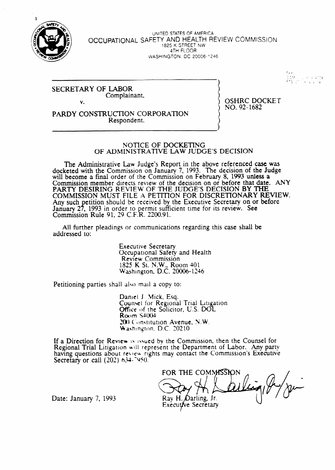

**UNITED STATES OF AMERICA** OCCUPATIONAL SAFETY AND HEALTH REVIEW COMMISSION 1825 K STREET NW 4TH FLOOR WASHINGTON, DC 20006-1246

#### **SECRETARY OF LABOR** Complainant.  $\mathbf{V}$

**OSHRC DOCKET** NO. 92-1682

тна<br>СОМ (212 класарда)<br>ЯТЯ (2012 класарда)

## PARDY CONSTRUCTION CORPORATION Respondent.

#### NOTICE OF DOCKETING OF ADMINISTRATIVE LAW JUDGE'S DECISION

The Administrative Law Judge's Report in the above referenced case was docketed with the Commission on January 7, 1993. The decision of the Judge will become a final order of the Commission on February 8, 1993 unless a Commission member directs review of the decision on or before that date. ANY PARTY DESIRING REVIEW OF THE JUDGE'S DECISION BY THE COMMISSION MUST FILE A PETITION FOR DISCRETIONARY REVIEW. Any such petition should be received by the Executive Secretary on or before January 27, 1993 in order to permit sufficient time for its review. See Commission Rule 91, 29 C.F.R. 2200.91.

All further pleadings or communications regarding this case shall be addressed to:

> **Executive Secretary** Occupational Safety and Health Review Commission 1825 K St. N.W., Room 401 Washington, D.C. 20006-1246

Petitioning parties shall also mail a copy to:

Daniel J. Mick, Esq. Counsel for Regional Trial Litigation Office of the Solicitor, U.S. DOL Room \$4004 200 Constitution Avenue, N.W. Washington, D.C. 20210

If a Direction for Review is issued by the Commission, then the Counsel for Regional Trial Litigation will represent the Department of Labor. Any party having questions about review rights may contact the Commission's Executive Secretary or call  $(202)$  634.7950.

FOR THE COMMISSION Rav H. Darling. Jr. Executive Secretary

Date: January 7, 1993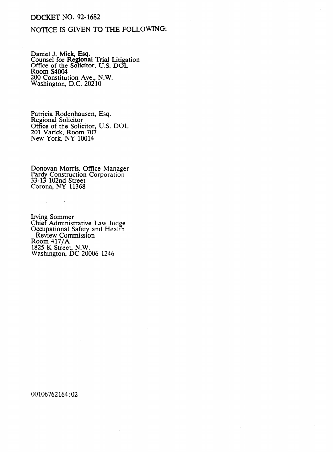## **DOCKET NO. 92-1682**

## NOTICE IS GIVEN TO THE FOLLOWING:

Daniel J. Mick, Esq.<br>Counsel for Regional Trial Litigation<br>Office of the Solicitor, U.S. DOL<br>Room S4004 200 Constitution Ave., N.W.<br>Washington, D.C. 20210

Patricia Rodenhausen, Esq.<br>Regional Solicitor<br>Office of the Solicitor, U.S. DOL<br>201 Varick, Room 707<br>New York, NY 10014

Donovan Morris. Office Manager<br>Pardy Construction Corporation<br>33-13 102nd Street<br>Corona, NY 11368

 $\sim 10$ 

Irving Sommer<br>Chief Administrative Law Judge<br>Occupational Safety and Health<br>Review Commission<br>Room 417/A<br>1825 K Street, N.W.<br>Washington, DC 20006 1246

00106762164:02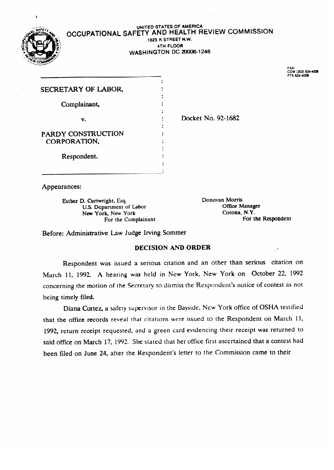### UNITED STATES OF AMERICA **OCCUPATIONAL SAFETY** AND HEALTH REVIEW COMMISSION 1825 K STREET N.W.<br>4TH FLOOR 71111 LUUT.<br>TOM DOO

**WASHINGTON DC 20006-1246** 



COM (202) 634-4<br>FTS <mark>634-4006</mark>

| SECRETARY OF LABOR, |                    |
|---------------------|--------------------|
| Complainant,        |                    |
| v.                  | Docket No. 92-1682 |
| PARDY CONSTRUCTION  |                    |
| CORPORATION,        |                    |
| Respondent.         |                    |
|                     |                    |

Appearances:

U.S. Department of Labor<br>
New York, New York<br>
Corona, N.Y. For the Complainant

Donovan Morris New York, New York<br>For the Complainant of Labor Office Manager of Labor Office Manager Manager of Labor Office Manager Manager of Labor Office Manager of Labor Office Manager of Labor Office Manager of Labor Office Manager

Before: Administrative Law Judge Irving Sommer

# **DECISION AND ORDER**

Respondent was issued a serious citation and an other than serious citation on March 11, 1992. A hearing was held in New York, New York on October 22, 1992 concerning the motion of the Secretary to dismiss the Respondent's notice of contest as not being timely filed.

Diana Cortez, a safety supervisor in the Bayside, New York office of OSHA testified that the office records reveal that citations were issued to the Respondent on March 11, 1992, return receipt requested, and a green card evidencing their receipt was returned to said office on March 17, 1992. She stated that her office first ascertained that a contest had been filed on June 24, after the Respondent's letter to the Commission came to their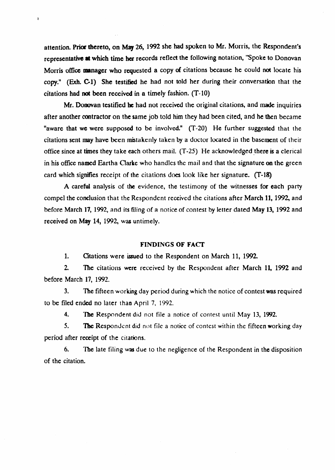attention. Prior thereto, on May 26, 1992 she had spoken to Mr. Morris, the Respondent's representative at which time her records reflect the following notation, "Spoke to Donovan Morris office manager who requested a copy of citations because he could not locate his copy." (Exh. C-1) She testified he had not told her during their conversation that the citations had not been received in a timely fashion. (T-10)

 $\mathbf{r}$ 

Mr. Donovan testified be had not received the original citations, and made inquiries after another contractor on the same job told him they had been cited, and he then became "aware that we were supposed to be involved." (T-20) He further suggested that the citations sent may have been mistakenly taken by a doctor located in the basement of their office since at times they take each others mail.  $(T-25)$  He acknowledged there is a clerical in his office named Eartha Clarke who handles the mail and that the signature on the green card which signifies receipt of the citations does look like her signature. (T-18)

A careful analysis of the evidence, the testimony of the witnesses for each party compel the conclusion that the Respondent received the citations after March 11, 1992, and before March 17, 1992, and its filing of a notice of contest by letter dated May 13, 1992 and received on May 14, 1992, was untimely.

### FINDINGS OF FACT

1. Citations were issued to the Respondent on March 11, 1992.

2. The citations were received by the Respondent after March 11, 1992 and before March 17, 1992.

3. The fifteen working day period during which the notice of contest was required to be filed ended no later thao April 7, 1992.

4. The Respondent did not file a notice of contest until May 13, 1992.

5. The Respondent did not file a notice of contest within the fifteen working day period after receipt of the citations.

6. The late filing was due to the negligence of the Respondent in the disposition of the citation.